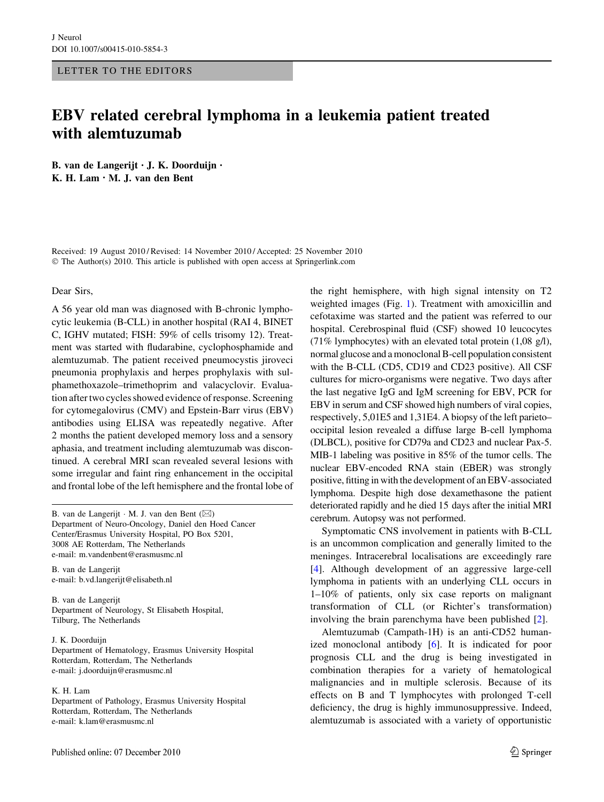# LETTER TO THE EDITORS

# EBV related cerebral lymphoma in a leukemia patient treated with alemtuzumab

B. van de Langerijt • J. K. Doorduijn • K. H. Lam • M. J. van den Bent

Received: 19 August 2010 / Revised: 14 November 2010 / Accepted: 25 November 2010 © The Author(s) 2010. This article is published with open access at Springerlink.com

### Dear Sirs,

A 56 year old man was diagnosed with B-chronic lymphocytic leukemia (B-CLL) in another hospital (RAI 4, BINET C, IGHV mutated; FISH: 59% of cells trisomy 12). Treatment was started with fludarabine, cyclophosphamide and alemtuzumab. The patient received pneumocystis jiroveci pneumonia prophylaxis and herpes prophylaxis with sulphamethoxazole–trimethoprim and valacyclovir. Evaluation after two cycles showed evidence of response. Screening for cytomegalovirus (CMV) and Epstein-Barr virus (EBV) antibodies using ELISA was repeatedly negative. After 2 months the patient developed memory loss and a sensory aphasia, and treatment including alemtuzumab was discontinued. A cerebral MRI scan revealed several lesions with some irregular and faint ring enhancement in the occipital and frontal lobe of the left hemisphere and the frontal lobe of

B. van de Langerijt ⋅ M. J. van den Bent (⊠) Department of Neuro-Oncology, Daniel den Hoed Cancer Center/Erasmus University Hospital, PO Box 5201, 3008 AE Rotterdam, The Netherlands e-mail: m.vandenbent@erasmusmc.nl

B. van de Langerijt e-mail: b.vd.langerijt@elisabeth.nl

B. van de Langerijt Department of Neurology, St Elisabeth Hospital, Tilburg, The Netherlands

# J. K. Doorduijn

Department of Hematology, Erasmus University Hospital Rotterdam, Rotterdam, The Netherlands e-mail: j.doorduijn@erasmusmc.nl

### K. H. Lam

Department of Pathology, Erasmus University Hospital Rotterdam, Rotterdam, The Netherlands e-mail: k.lam@erasmusmc.nl

Published online: 07 December 2010

the right hemisphere, with high signal intensity on T2 weighted images (Fig. [1](#page-1-0)). Treatment with amoxicillin and cefotaxime was started and the patient was referred to our hospital. Cerebrospinal fluid (CSF) showed 10 leucocytes (71% lymphocytes) with an elevated total protein (1,08 g/l), normal glucose and a monoclonal B-cell population consistent with the B-CLL (CD5, CD19 and CD23 positive). All CSF cultures for micro-organisms were negative. Two days after the last negative IgG and IgM screening for EBV, PCR for EBV in serum and CSF showed high numbers of viral copies, respectively, 5,01E5 and 1,31E4. A biopsy of the left parieto– occipital lesion revealed a diffuse large B-cell lymphoma (DLBCL), positive for CD79a and CD23 and nuclear Pax-5. MIB-1 labeling was positive in 85% of the tumor cells. The nuclear EBV-encoded RNA stain (EBER) was strongly positive, fitting in with the development of an EBV-associated lymphoma. Despite high dose dexamethasone the patient deteriorated rapidly and he died 15 days after the initial MRI cerebrum. Autopsy was not performed.

Symptomatic CNS involvement in patients with B-CLL is an uncommon complication and generally limited to the meninges. Intracerebral localisations are exceedingly rare [\[4](#page-1-0)]. Although development of an aggressive large-cell lymphoma in patients with an underlying CLL occurs in 1–10% of patients, only six case reports on malignant transformation of CLL (or Richter's transformation) involving the brain parenchyma have been published [[2\]](#page-1-0).

Alemtuzumab (Campath-1H) is an anti-CD52 humanized monoclonal antibody [[6\]](#page-1-0). It is indicated for poor prognosis CLL and the drug is being investigated in combination therapies for a variety of hematological malignancies and in multiple sclerosis. Because of its effects on B and T lymphocytes with prolonged T-cell deficiency, the drug is highly immunosuppressive. Indeed, alemtuzumab is associated with a variety of opportunistic